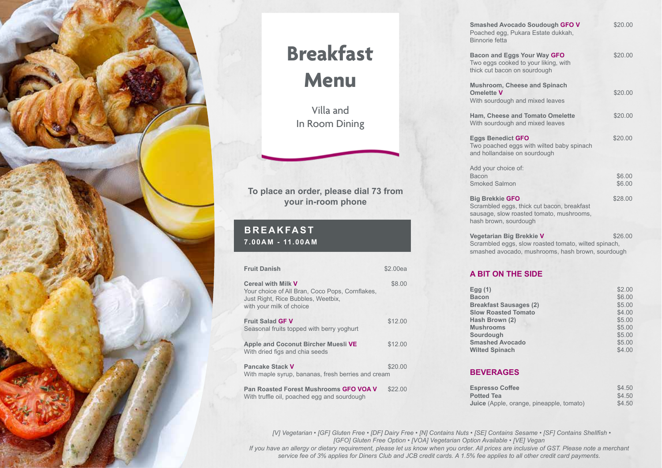

### **Breakfast Menu**

Villa and In Room Dining

#### **To place an order, please dial 73 from your in-room phone**

#### **BREAKFAST 7.00AM - 11.00AM**

| <b>Fruit Danish</b>                                                                                                                                                        | \$2.00ea |
|----------------------------------------------------------------------------------------------------------------------------------------------------------------------------|----------|
| <b>Cereal with Milk V</b><br>Your choice of All Bran, Coco Pops, Cornflakes,<br>Just Right, Rice Bubbles, Weetbix,<br>with your milk of choice                             | \$8.00   |
| <b>Fruit Salad GF V</b><br>Seasonal fruits topped with berry yoghurt                                                                                                       | \$12.00  |
| Apple and Coconut Bircher Muesli VE<br>With dried figs and chia seeds                                                                                                      | \$12.00  |
| Pancake Stack V<br>With maple syrup, bananas, fresh berries and cream                                                                                                      | \$20.00  |
| $\mathbf{D}_{\text{out}}$ , $\mathbf{D}_{\text{in}}$ and $\mathbf{E}_{\text{out}}$ is in the second of $\mathbf{A} \mathbf{D} \mathbf{A} \mathbf{A} \mathbf{A} \mathbf{A}$ |          |

**Pan Roasted Forest Mushrooms GFO VOA V** \$22.00 With truffle oil, poached egg and sourdough

| <b>Smashed Avocado Soudough GFO V</b><br>Poached egg, Pukara Estate dukkah,<br>Binnorie fetta                                             | \$20.00          |
|-------------------------------------------------------------------------------------------------------------------------------------------|------------------|
| <b>Bacon and Eggs Your Way GFO</b><br>Two eggs cooked to your liking, with<br>thick cut bacon on sourdough                                | \$20.00          |
| Mushroom, Cheese and Spinach<br><b>Omelette V</b><br>With sourdough and mixed leaves                                                      | \$20.00          |
| Ham, Cheese and Tomato Omelette<br>With sourdough and mixed leaves                                                                        | \$20.00          |
| <b>Eggs Benedict GFO</b><br>Two poached eggs with wilted baby spinach<br>and hollandaise on sourdough                                     | \$20.00          |
| Add your choice of:<br><b>Bacon</b><br>Smoked Salmon                                                                                      | \$6.00<br>\$6.00 |
| <b>Big Brekkie GFO</b><br>Scrambled eggs, thick cut bacon, breakfast<br>sausage, slow roasted tomato, mushrooms,<br>hash brown, sourdough | \$28.00          |
| Vegetarian Big Brekkie V<br>Scrambled eggs, slow roasted tomato, wilted spinach,<br>smashed avocado, mushrooms, hash brown, sourdough     | \$26.00          |
|                                                                                                                                           |                  |

#### **A BIT ON THE SIDE**

| Egg $(1)$                     | \$2.00 |
|-------------------------------|--------|
| <b>Bacon</b>                  | \$6.00 |
| <b>Breakfast Sausages (2)</b> | \$5.00 |
| <b>Slow Roasted Tomato</b>    | \$4.00 |
| Hash Brown (2)                | \$5.00 |
| <b>Mushrooms</b>              | \$5.00 |
| Sourdough                     | \$5.00 |
| <b>Smashed Avocado</b>        | \$5.00 |
| <b>Wilted Spinach</b>         | \$4.00 |

#### **BEVERAGES**

| <b>Espresso Coffee</b>                          | \$4.50 |
|-------------------------------------------------|--------|
| <b>Potted Tea</b>                               | \$4.50 |
| <b>Juice</b> (Apple, orange, pineapple, tomato) | \$4.50 |

 *[V] Vegetarian • [GF] Gluten Free • [DF] Dairy Free • [N] Contains Nuts • [SE] Contains Sesame • [SF] Contains Shellfish • [GFO] Gluten Free Option • [VOA] Vegetarian Option Available • [VE] Vegan*

*If you have an allergy or dietary requirement, please let us know when you order. All prices are inclusive of GST. Please note a merchant service fee of 3% applies for Diners Club and JCB credit cards. A 1.5% fee applies to all other credit card payments.*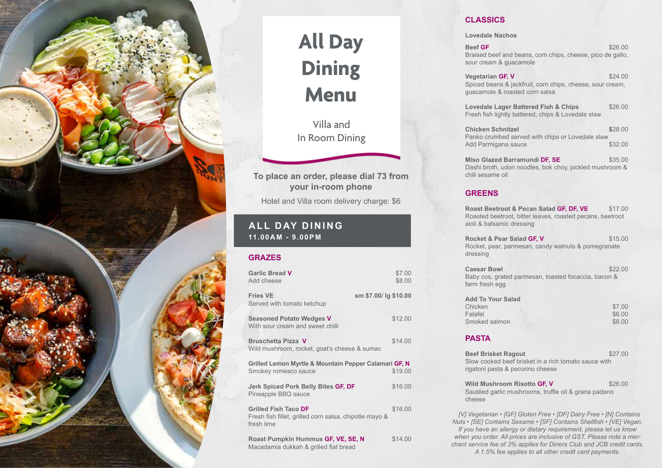

# **All Day Dining Menu**

Villa and In Room Dining

**To place an order, please dial 73 from your in-room phone**

Hotel and Villa room delivery charge: \$6

### **ALL DAY DINING 11.00AM - 9.00PM**

#### **GRAZES**

| <b>Garlic Bread V</b><br>Add cheese                                                          | \$7.00<br>\$8.00 |  |
|----------------------------------------------------------------------------------------------|------------------|--|
| <b>Fries VE</b><br>sm \$7.00/ lg \$10.00<br>Served with tomato ketchup                       |                  |  |
| <b>Seasoned Potato Wedges V</b><br>With sour cream and sweet chilli                          | \$12.00          |  |
| <b>Bruschetta Pizza V</b><br>Wild mushroom, rocket, goat's cheese & sumac                    | \$14.00          |  |
| Grilled Lemon Myrtle & Mountain Pepper Calamari GF, N<br>Smokey romesco sauce                | \$19.00          |  |
| Jerk Spiced Pork Belly Bites GF, DF<br>Pineapple BBQ sauce                                   | \$16.00          |  |
| Grilled Fish Taco DF<br>Fresh fish fillet, grilled corn salsa, chipotle mayo &<br>fresh lime | \$16.00          |  |
| Roast Pumpkin Hummus GF, VE, SE, N<br>Macadamia dukkah & grilled flat bread                  | \$14.00          |  |

#### **CLASSICS**

**Lovedale Nachos**

**Beef GF**  $$26.00$ Braised beef and beans, corn chips, cheese, pico de gallo, sour cream & guacamole

**Vegetarian GF, V** \$24.00 Spiced beans & jackfruit, corn chips, cheese, sour cream, guacamole & roasted corn salsa

**Lovedale Lager Battered Fish & Chips**  $$26.00$ Fresh fish lightly battered, chips & Lovedale slaw

**Chicken Schnitzel \$**28.00 Panko crumbed served with chips or Lovedale slaw<br>Add Parmigana sauce \$32.00 Add Parmigana sauce

**Miso Glazed Barramundi DF, SE** \$35.00 Dashi broth, udon noodles, bok choy, pickled mushroom & chili sesame oil

#### **GREENS**

**Roast Beetroot & Pecan Salad GF, DF, VE** \$17.00 Roasted beetroot, bitter leaves, roasted pecans, beetroot aioli & balsamic dressing

**Rocket & Pear Salad GF, V \$15.00** Rocket, pear, parmesan, candy walnuts & pomegranate dressing

**Caesar Bowl** \$22.00 Baby cos, grated parmesan, toasted focaccia, bacon & farm fresh egg

| <b>Add To Your Salad</b> |        |
|--------------------------|--------|
| Chicken                  | \$7.00 |
| Falafel                  | \$6.00 |
| Smoked salmon            | \$8.00 |

#### **PASTA**

**Beef Brisket Ragout \$27.00** Slow cooked beef brisket in a rich tomato sauce with rigatoni pasta & pecorino cheese **Wild Mushroom Risotto GF, V** \$26.00 Sautéed garlic mushrooms, truffle oil & grana padano cheese

 *[V] Vegetarian • [GF] Gluten Free • [DF] Dairy Free • [N] Contains Nuts • [SE] Contains Sesame • [SF] Contains Shellfish • [VE] Vegan. If you have an allergy or dietary requirement, please let us know when you order. All prices are inclusive of GST. Please note a merchant service fee of 3% applies for Diners Club and JCB credit cards. A 1.5% fee applies to all other credit card payments.*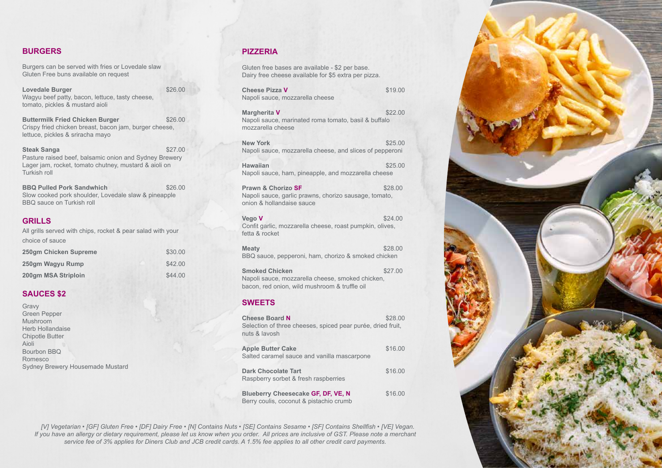#### **BURGERS**

Burgers can be served with fries or Lovedale slaw Gluten Free buns available on request

| Lovedale Burger                                 | \$26.00 |
|-------------------------------------------------|---------|
| Wagyu beef patty, bacon, lettuce, tasty cheese, |         |
| tomato, pickles & mustard aioli                 |         |

**Buttermilk Fried Chicken Burger \$26.00** Crispy fried chicken breast, bacon jam, burger cheese, lettuce, pickles & sriracha mayo

**Steak Sanga \$27.00** Pasture raised beef, balsamic onion and Sydney Brewery Lager jam, rocket, tomato chutney, mustard & aioli on Turkish roll

**BBQ Pulled Pork Sandwhich \$26.00** Slow cooked pork shoulder, Lovedale slaw & pineapple BBQ sauce on Turkish roll

#### **GRILLS**

All grills served with chips, rocket & pear salad with your choice of sauce

| 250gm Chicken Supreme | \$30.00 |
|-----------------------|---------|
| 250gm Wagyu Rump      | \$42.00 |
| 200am MSA Striploin   | \$44.00 |

#### **SAUCES \$2**

| Gravy                            |  |
|----------------------------------|--|
| <b>Green Pepper</b>              |  |
| Mushroom                         |  |
| Herb Hollandaise                 |  |
| <b>Chipotle Butter</b>           |  |
| Aioli                            |  |
| Bourbon BBQ                      |  |
| Romesco                          |  |
| Sydney Brewery Housemade Mustard |  |

#### **PIZZERIA**

Gluten free bases are available - \$2 per base. Dairy free cheese available for \$5 extra per pizza.

| <b>Cheese Pizza V</b><br>Napoli sauce, mozzarella cheese                                                                   | \$19.00 |
|----------------------------------------------------------------------------------------------------------------------------|---------|
| Margherita V<br>Napoli sauce, marinated roma tomato, basil & buffalo<br>mozzarella cheese                                  | \$22.00 |
| <b>New York</b><br>Napoli sauce, mozzarella cheese, and slices of pepperoni                                                | \$25.00 |
| <b>Hawaiian</b><br>Napoli sauce, ham, pineapple, and mozzarella cheese                                                     | \$25.00 |
| Prawn & Chorizo SF<br>Napoli sauce, garlic prawns, chorizo sausage, tomato,<br>onion & hollandaise sauce                   | \$28.00 |
| Vego V<br>Confit garlic, mozzarella cheese, roast pumpkin, olives,<br>fetta & rocket                                       | \$24.00 |
| <b>Meaty</b><br>BBQ sauce, pepperoni, ham, chorizo & smoked chicken                                                        | \$28.00 |
| <b>Smoked Chicken</b><br>Napoli sauce, mozzarella cheese, smoked chicken,<br>bacon, red onion, wild mushroom & truffle oil | \$27.00 |
| <b>SWEETS</b>                                                                                                              |         |
| <b>Cheese Board N</b><br>Selection of three cheeses, spiced pear purée, dried fruit,<br>nuts & lavosh                      | \$28.00 |
| <b>Apple Butter Cake</b><br>Salted caramel sauce and vanilla mascarpone                                                    | \$16.00 |
| Dark Chocolate Tart                                                                                                        | 44601   |

**Dark Chocolate Tart** Raspberry sorbet & fresh raspberries **Blueberry Cheesecake GF, DF, VE, N** \$16.00 Berry coulis, coconut & pistachio crumb

 *[V] Vegetarian • [GF] Gluten Free • [DF] Dairy Free • [N] Contains Nuts • [SE] Contains Sesame • [SF] Contains Shellfish • [VE] Vegan. If you have an allergy or dietary requirement, please let us know when you order. All prices are inclusive of GST. Please note a merchant service fee of 3% applies for Diners Club and JCB credit cards. A 1.5% fee applies to all other credit card payments.*